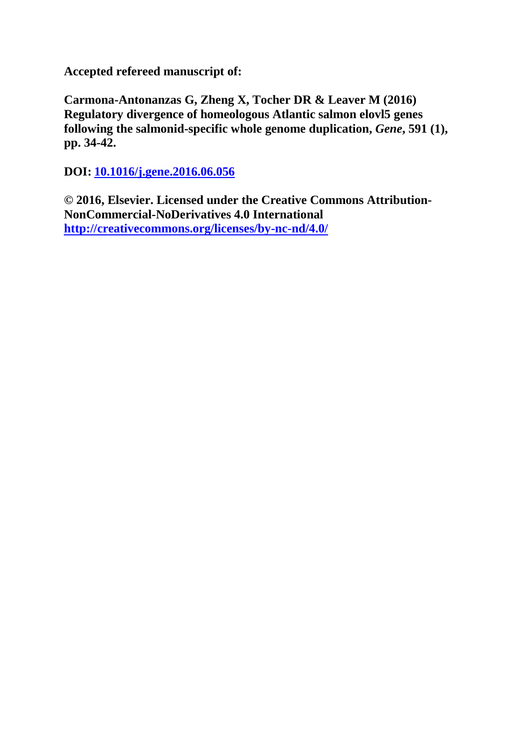**Accepted refereed manuscript of:** 

**Carmona-Antonanzas G, Zheng X, Tocher DR & Leaver M (2016) Regulatory divergence of homeologous Atlantic salmon elovl5 genes following the salmonid-specific whole genome duplication,** *Gene***, 591 (1), pp. 34-42.**

**DOI: [10.1016/j.gene.2016.06.056](http://dx.doi.org/10.1016/j.gene.2016.06.056)**

**© 2016, Elsevier. Licensed under the Creative Commons Attribution-NonCommercial-NoDerivatives 4.0 International <http://creativecommons.org/licenses/by-nc-nd/4.0/>**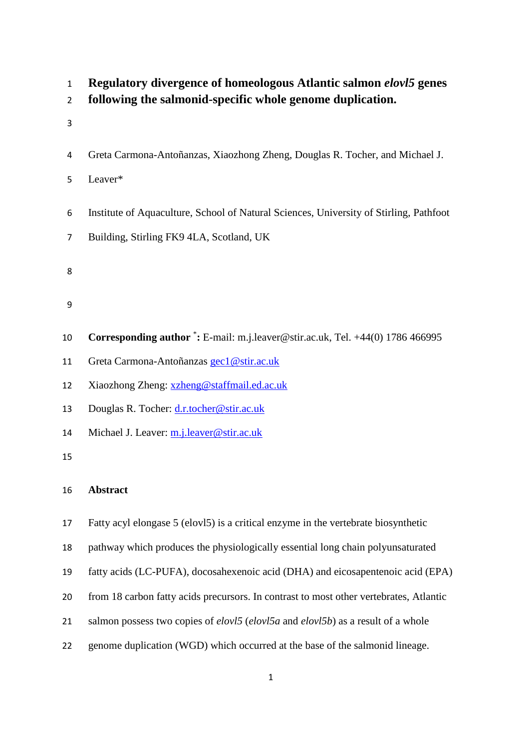- **Regulatory divergence of homeologous Atlantic salmon** *elovl5* **genes**
- **following the salmonid-specific whole genome duplication.**
- 
- Greta Carmona-Antoñanzas, Xiaozhong Zheng, Douglas R. Tocher, and Michael J.
- Leaver\*
- Institute of Aquaculture, School of Natural Sciences, University of Stirling, Pathfoot
- Building, Stirling FK9 4LA, Scotland, UK
- 
- 
- 
- 10 **Corresponding author** <sup>\*</sup>: E-mail: m.j.leaver@stir.ac.uk, Tel. +44(0) 1786 466995
- Greta Carmona-Antoñanzas [gec1@stir.ac.uk](mailto:gec1@stir.ac.uk)
- Xiaozhong Zheng: [xzheng@staffmail.ed.ac.uk](mailto:xzheng@staffmail.ed.ac.uk)
- Douglas R. Tocher: [d.r.tocher@stir.ac.uk](mailto:d.r.tocher@stir.ac.uk)
- Michael J. Leaver: [m.j.leaver@stir.ac.uk](mailto:m.j.leaver@stir.ac.uk)

# **Abstract**

- Fatty acyl elongase 5 (elovl5) is a critical enzyme in the vertebrate biosynthetic
- pathway which produces the physiologically essential long chain polyunsaturated
- fatty acids (LC-PUFA), docosahexenoic acid (DHA) and eicosapentenoic acid (EPA)
- from 18 carbon fatty acids precursors. In contrast to most other vertebrates, Atlantic
- salmon possess two copies of *elovl5* (*elovl5a* and *elovl5b*) as a result of a whole
- genome duplication (WGD) which occurred at the base of the salmonid lineage.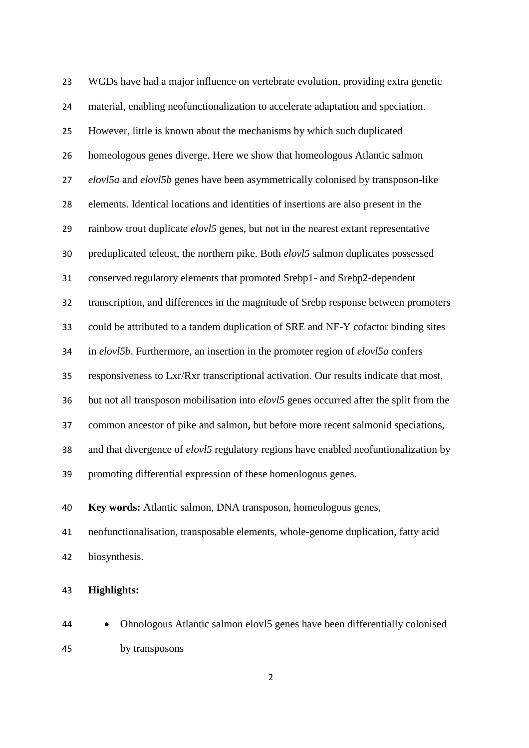WGDs have had a major influence on vertebrate evolution, providing extra genetic material, enabling neofunctionalization to accelerate adaptation and speciation. However, little is known about the mechanisms by which such duplicated homeologous genes diverge. Here we show that homeologous Atlantic salmon *elovl5a* and *elovl5b* genes have been asymmetrically colonised by transposon-like elements. Identical locations and identities of insertions are also present in the rainbow trout duplicate *elovl5* genes, but not in the nearest extant representative preduplicated teleost, the northern pike. Both *elovl5* salmon duplicates possessed conserved regulatory elements that promoted Srebp1- and Srebp2-dependent transcription, and differences in the magnitude of Srebp response between promoters could be attributed to a tandem duplication of SRE and NF-Y cofactor binding sites in *elovl5b*. Furthermore, an insertion in the promoter region of *elovl5a* confers responsiveness to Lxr/Rxr transcriptional activation. Our results indicate that most, but not all transposon mobilisation into *elovl5* genes occurred after the split from the common ancestor of pike and salmon, but before more recent salmonid speciations, and that divergence of *elovl5* regulatory regions have enabled neofuntionalization by promoting differential expression of these homeologous genes.

**Key words:** Atlantic salmon, DNA transposon, homeologous genes,

 neofunctionalisation, transposable elements, whole-genome duplication, fatty acid biosynthesis.

**Highlights:**

 Ohnologous Atlantic salmon elovl5 genes have been differentially colonised by transposons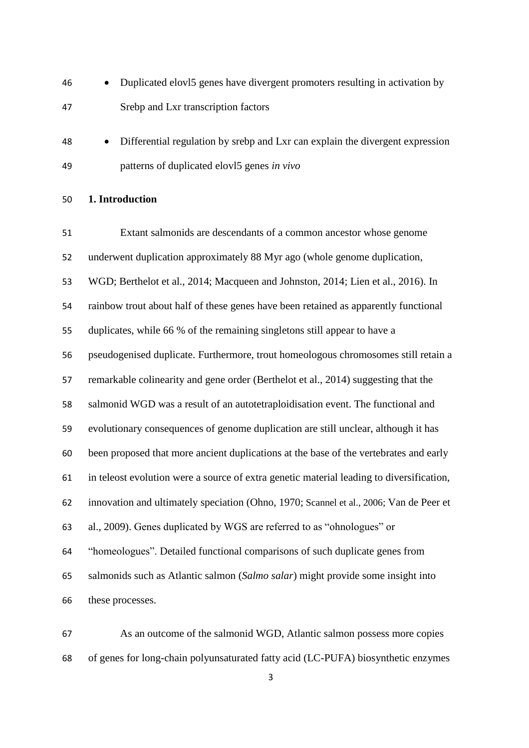- Duplicated elovl5 genes have divergent promoters resulting in activation by Srebp and Lxr transcription factors
- Differential regulation by srebp and Lxr can explain the divergent expression patterns of duplicated elovl5 genes *in vivo*

## **1. Introduction**

 Extant salmonids are descendants of a common ancestor whose genome underwent duplication approximately 88 Myr ago (whole genome duplication, WGD; Berthelot et al., 2014; Macqueen and Johnston, 2014; Lien et al., 2016). In rainbow trout about half of these genes have been retained as apparently functional duplicates, while 66 % of the remaining singletons still appear to have a pseudogenised duplicate. Furthermore, trout homeologous chromosomes still retain a remarkable colinearity and gene order (Berthelot et al., 2014) suggesting that the salmonid WGD was a result of an autotetraploidisation event. The functional and evolutionary consequences of genome duplication are still unclear, although it has been proposed that more ancient duplications at the base of the vertebrates and early in teleost evolution were a source of extra genetic material leading to diversification, innovation and ultimately speciation (Ohno, 1970; Scannel et al., 2006; Van de Peer et al., 2009). Genes duplicated by WGS are referred to as "ohnologues" or "homeologues". Detailed functional comparisons of such duplicate genes from salmonids such as Atlantic salmon (*Salmo salar*) might provide some insight into these processes.

 As an outcome of the salmonid WGD, Atlantic salmon possess more copies of genes for long-chain polyunsaturated fatty acid (LC-PUFA) biosynthetic enzymes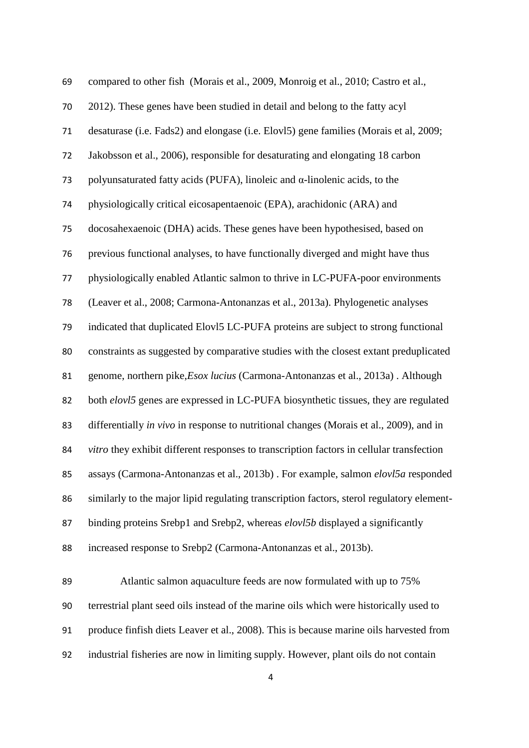| 69 | compared to other fish (Morais et al., 2009, Monroig et al., 2010; Castro et al.,         |
|----|-------------------------------------------------------------------------------------------|
| 70 | 2012). These genes have been studied in detail and belong to the fatty acyl               |
| 71 | desaturase (i.e. Fads2) and elongase (i.e. Elov15) gene families (Morais et al, 2009;     |
| 72 | Jakobsson et al., 2006), responsible for desaturating and elongating 18 carbon            |
| 73 | polyunsaturated fatty acids (PUFA), linoleic and $\alpha$ -linolenic acids, to the        |
| 74 | physiologically critical eicosapentaenoic (EPA), arachidonic (ARA) and                    |
| 75 | docosahexaenoic (DHA) acids. These genes have been hypothesised, based on                 |
| 76 | previous functional analyses, to have functionally diverged and might have thus           |
| 77 | physiologically enabled Atlantic salmon to thrive in LC-PUFA-poor environments            |
| 78 | (Leaver et al., 2008; Carmona-Antonanzas et al., 2013a). Phylogenetic analyses            |
| 79 | indicated that duplicated Elov15 LC-PUFA proteins are subject to strong functional        |
| 80 | constraints as suggested by comparative studies with the closest extant preduplicated     |
| 81 | genome, northern pike, Esox lucius (Carmona-Antonanzas et al., 2013a). Although           |
| 82 | both elovl5 genes are expressed in LC-PUFA biosynthetic tissues, they are regulated       |
| 83 | differentially in vivo in response to nutritional changes (Morais et al., 2009), and in   |
| 84 | vitro they exhibit different responses to transcription factors in cellular transfection  |
| 85 | assays (Carmona-Antonanzas et al., 2013b). For example, salmon elovl5a responded          |
| 86 | similarly to the major lipid regulating transcription factors, sterol regulatory element- |
| 87 | binding proteins Srebp1 and Srebp2, whereas elovl5b displayed a significantly             |
| 88 | increased response to Srebp2 (Carmona-Antonanzas et al., 2013b).                          |

 Atlantic salmon aquaculture feeds are now formulated with up to 75% terrestrial plant seed oils instead of the marine oils which were historically used to produce finfish diets Leaver et al., 2008). This is because marine oils harvested from industrial fisheries are now in limiting supply. However, plant oils do not contain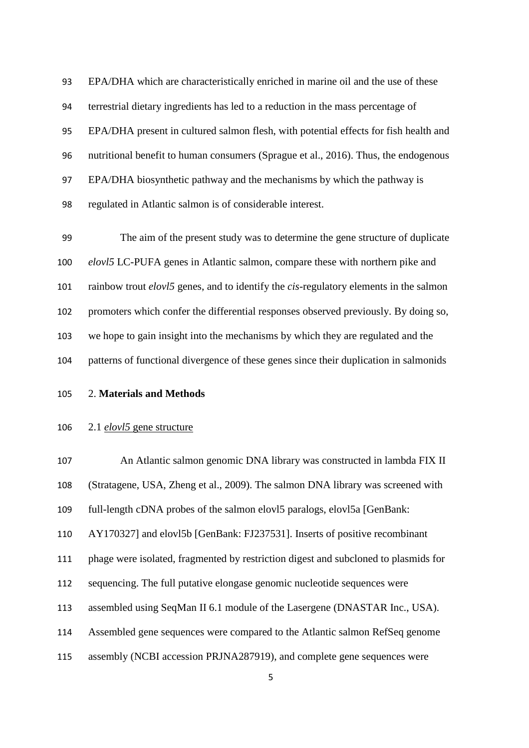EPA/DHA which are characteristically enriched in marine oil and the use of these terrestrial dietary ingredients has led to a reduction in the mass percentage of EPA/DHA present in cultured salmon flesh, with potential effects for fish health and nutritional benefit to human consumers (Sprague et al., 2016). Thus, the endogenous EPA/DHA biosynthetic pathway and the mechanisms by which the pathway is regulated in Atlantic salmon is of considerable interest.

 The aim of the present study was to determine the gene structure of duplicate *elovl5* LC-PUFA genes in Atlantic salmon, compare these with northern pike and rainbow trout *elovl5* genes, and to identify the *cis*-regulatory elements in the salmon promoters which confer the differential responses observed previously. By doing so, we hope to gain insight into the mechanisms by which they are regulated and the patterns of functional divergence of these genes since their duplication in salmonids

2. **Materials and Methods**

## 2.1 *elovl5* gene structure

 An Atlantic salmon genomic DNA library was constructed in lambda FIX II (Stratagene, USA, Zheng et al., 2009). The salmon DNA library was screened with full-length cDNA probes of the salmon elovl5 paralogs, elovl5a [GenBank: AY170327] and elovl5b [GenBank: FJ237531]. Inserts of positive recombinant phage were isolated, fragmented by restriction digest and subcloned to plasmids for sequencing. The full putative elongase genomic nucleotide sequences were assembled using SeqMan II 6.1 module of the Lasergene (DNASTAR Inc., USA). Assembled gene sequences were compared to the Atlantic salmon RefSeq genome assembly (NCBI accession PRJNA287919), and complete gene sequences were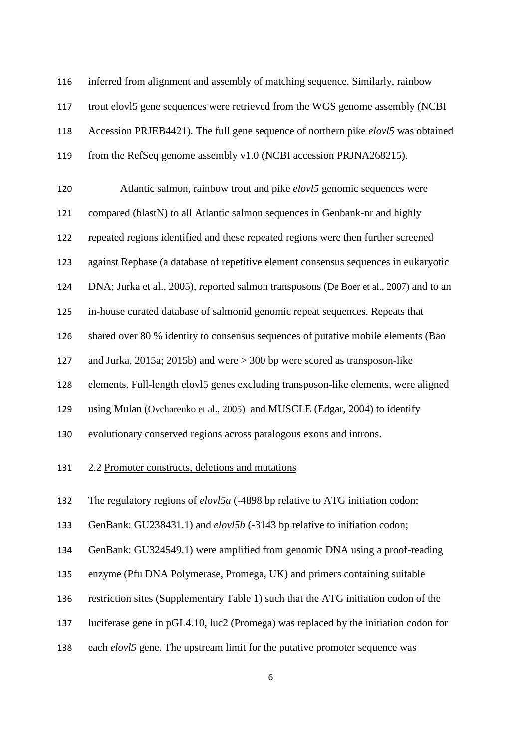inferred from alignment and assembly of matching sequence. Similarly, rainbow trout elovl5 gene sequences were retrieved from the WGS genome assembly (NCBI Accession PRJEB4421). The full gene sequence of northern pike *elovl5* was obtained from the RefSeq genome assembly v1.0 (NCBI accession PRJNA268215). Atlantic salmon, rainbow trout and pike *elovl5* genomic sequences were compared (blastN) to all Atlantic salmon sequences in Genbank-nr and highly repeated regions identified and these repeated regions were then further screened against Repbase (a database of repetitive element consensus sequences in eukaryotic DNA; Jurka et al., 2005), reported salmon transposons (De Boer et al., 2007) and to an in-house curated database of salmonid genomic repeat sequences. Repeats that shared over 80 % identity to consensus sequences of putative mobile elements (Bao and Jurka, 2015a; 2015b) and were > 300 bp were scored as transposon-like elements. Full-length elovl5 genes excluding transposon-like elements, were aligned using Mulan (Ovcharenko et al., 2005) and MUSCLE (Edgar, 2004) to identify evolutionary conserved regions across paralogous exons and introns. 2.2 Promoter constructs, deletions and mutations The regulatory regions of *elovl5a* (-4898 bp relative to ATG initiation codon; GenBank: GU238431.1) and *elovl5b* (-3143 bp relative to initiation codon; GenBank: GU324549.1) were amplified from genomic DNA using a proof-reading enzyme (Pfu DNA Polymerase, Promega, UK) and primers containing suitable restriction sites (Supplementary Table 1) such that the ATG initiation codon of the luciferase gene in pGL4.10, luc2 (Promega) was replaced by the initiation codon for each *elovl5* gene. The upstream limit for the putative promoter sequence was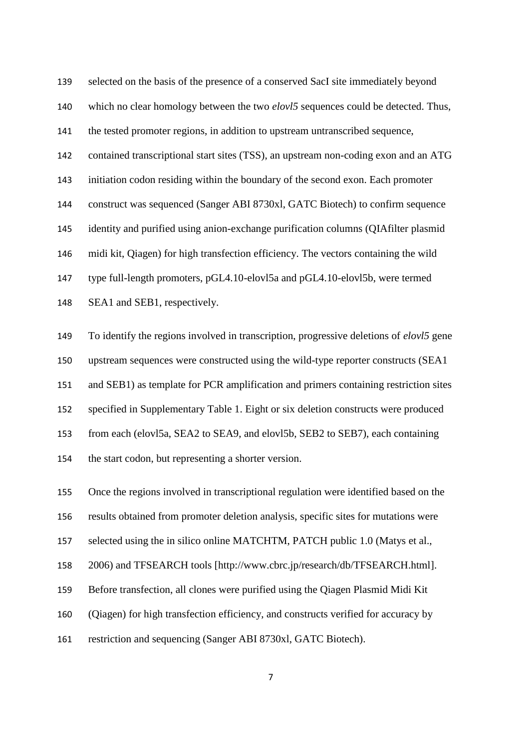selected on the basis of the presence of a conserved SacI site immediately beyond which no clear homology between the two *elovl5* sequences could be detected. Thus, the tested promoter regions, in addition to upstream untranscribed sequence, contained transcriptional start sites (TSS), an upstream non-coding exon and an ATG initiation codon residing within the boundary of the second exon. Each promoter construct was sequenced (Sanger ABI 8730xl, GATC Biotech) to confirm sequence identity and purified using anion-exchange purification columns (QIAfilter plasmid midi kit, Qiagen) for high transfection efficiency. The vectors containing the wild type full-length promoters, pGL4.10-elovl5a and pGL4.10-elovl5b, were termed SEA1 and SEB1, respectively.

 To identify the regions involved in transcription, progressive deletions of *elovl5* gene upstream sequences were constructed using the wild-type reporter constructs (SEA1 and SEB1) as template for PCR amplification and primers containing restriction sites specified in Supplementary Table 1. Eight or six deletion constructs were produced from each (elovl5a, SEA2 to SEA9, and elovl5b, SEB2 to SEB7), each containing the start codon, but representing a shorter version.

 Once the regions involved in transcriptional regulation were identified based on the results obtained from promoter deletion analysis, specific sites for mutations were selected using the in silico online MATCHTM, PATCH public 1.0 (Matys et al., 2006) and TFSEARCH tools [http://www.cbrc.jp/research/db/TFSEARCH.html]. Before transfection, all clones were purified using the Qiagen Plasmid Midi Kit (Qiagen) for high transfection efficiency, and constructs verified for accuracy by restriction and sequencing (Sanger ABI 8730xl, GATC Biotech).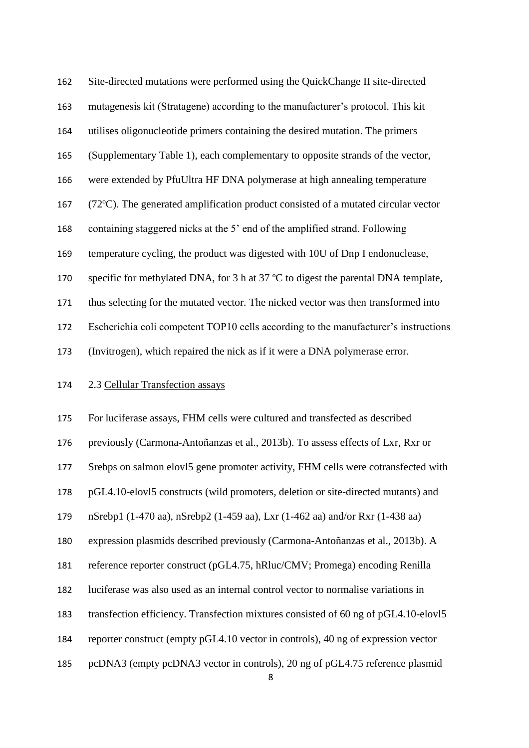Site-directed mutations were performed using the QuickChange II site-directed mutagenesis kit (Stratagene) according to the manufacturer's protocol. This kit utilises oligonucleotide primers containing the desired mutation. The primers (Supplementary Table 1), each complementary to opposite strands of the vector, were extended by PfuUltra HF DNA polymerase at high annealing temperature (72ºC). The generated amplification product consisted of a mutated circular vector containing staggered nicks at the 5' end of the amplified strand. Following temperature cycling, the product was digested with 10U of Dnp I endonuclease, 170 specific for methylated DNA, for 3 h at 37 °C to digest the parental DNA template, thus selecting for the mutated vector. The nicked vector was then transformed into Escherichia coli competent TOP10 cells according to the manufacturer's instructions (Invitrogen), which repaired the nick as if it were a DNA polymerase error.

# 2.3 Cellular Transfection assays

 For luciferase assays, FHM cells were cultured and transfected as described previously (Carmona-Antoñanzas et al., 2013b). To assess effects of Lxr, Rxr or Srebps on salmon elovl5 gene promoter activity, FHM cells were cotransfected with pGL4.10-elovl5 constructs (wild promoters, deletion or site-directed mutants) and nSrebp1 (1-470 aa), nSrebp2 (1-459 aa), Lxr (1-462 aa) and/or Rxr (1-438 aa) expression plasmids described previously (Carmona-Antoñanzas et al., 2013b). A reference reporter construct (pGL4.75, hRluc/CMV; Promega) encoding Renilla luciferase was also used as an internal control vector to normalise variations in transfection efficiency. Transfection mixtures consisted of 60 ng of pGL4.10-elovl5 reporter construct (empty pGL4.10 vector in controls), 40 ng of expression vector pcDNA3 (empty pcDNA3 vector in controls), 20 ng of pGL4.75 reference plasmid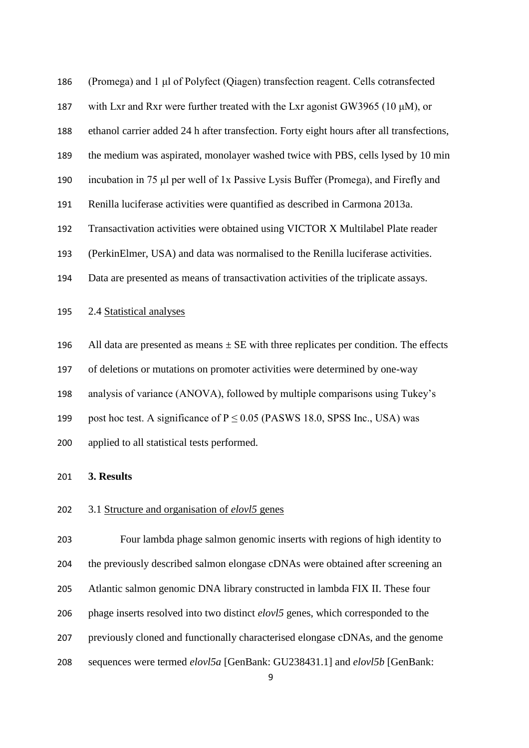(Promega) and 1 μl of Polyfect (Qiagen) transfection reagent. Cells cotransfected 187 with Lxr and Rxr were further treated with the Lxr agonist GW3965 (10  $\mu$ M), or ethanol carrier added 24 h after transfection. Forty eight hours after all transfections, the medium was aspirated, monolayer washed twice with PBS, cells lysed by 10 min incubation in 75 μl per well of 1x Passive Lysis Buffer (Promega), and Firefly and Renilla luciferase activities were quantified as described in Carmona 2013a. Transactivation activities were obtained using VICTOR X Multilabel Plate reader (PerkinElmer, USA) and data was normalised to the Renilla luciferase activities. Data are presented as means of transactivation activities of the triplicate assays. 2.4 Statistical analyses

196 All data are presented as means  $\pm$  SE with three replicates per condition. The effects

of deletions or mutations on promoter activities were determined by one-way

analysis of variance (ANOVA), followed by multiple comparisons using Tukey's

199 post hoc test. A significance of  $P \le 0.05$  (PASWS 18.0, SPSS Inc., USA) was

applied to all statistical tests performed.

## **3. Results**

# 3.1 Structure and organisation of *elovl5* genes

 Four lambda phage salmon genomic inserts with regions of high identity to the previously described salmon elongase cDNAs were obtained after screening an Atlantic salmon genomic DNA library constructed in lambda FIX II. These four phage inserts resolved into two distinct *elovl5* genes, which corresponded to the previously cloned and functionally characterised elongase cDNAs, and the genome sequences were termed *elovl5a* [GenBank: GU238431.1] and *elovl5b* [GenBank: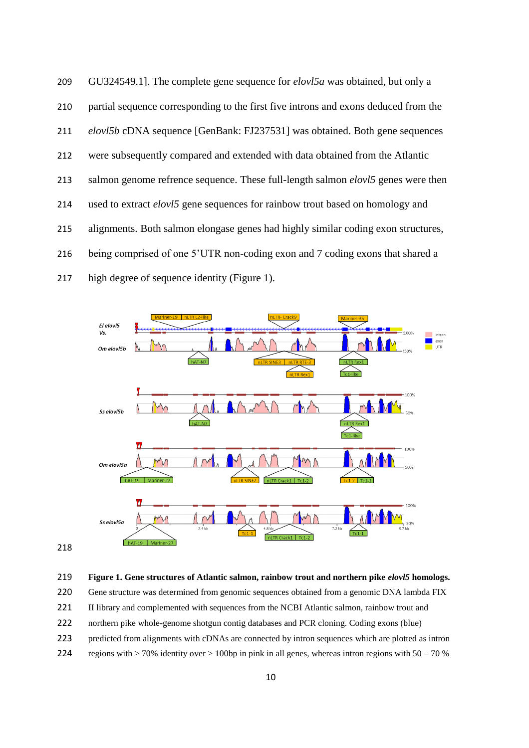GU324549.1]. The complete gene sequence for *elovl5a* was obtained, but only a partial sequence corresponding to the first five introns and exons deduced from the *elovl5b* cDNA sequence [GenBank: [FJ237531\]](http://www.ncbi.nlm.nih.gov/nuccore/209553929) was obtained. Both gene sequences were subsequently compared and extended with data obtained from the Atlantic salmon genome refrence sequence. These full-length salmon *elovl5* genes were then used to extract *elovl5* gene sequences for rainbow trout based on homology and alignments. Both salmon elongase genes had highly similar coding exon structures, being comprised of one 5'UTR non-coding exon and 7 coding exons that shared a high degree of sequence identity (Figure 1).



| 219 |  |  |  |  | Figure 1. Gene structures of Atlantic salmon, rainbow trout and northern pike elovl5 homologs. |  |
|-----|--|--|--|--|------------------------------------------------------------------------------------------------|--|
|-----|--|--|--|--|------------------------------------------------------------------------------------------------|--|

220 Gene structure was determined from genomic sequences obtained from a genomic DNA lambda FIX

221 II library and complemented with sequences from the NCBI Atlantic salmon, rainbow trout and

- northern pike whole-genome shotgun contig databases and PCR cloning. Coding exons (blue)
- predicted from alignments with cDNAs are connected by intron sequences which are plotted as intron
- 224 regions with  $> 70\%$  identity over  $> 100$ bp in pink in all genes, whereas intron regions with 50 70 %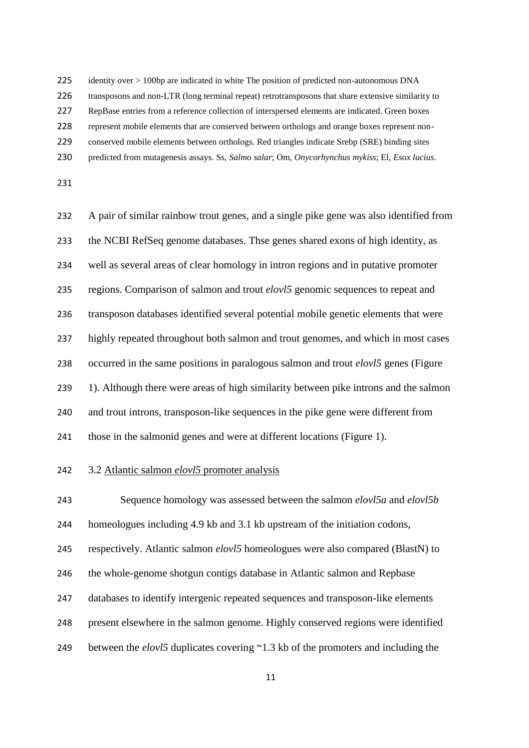225 identity over > 100bp are indicated in white The position of predicted non-autonomous DNA

transposons and non-LTR (long terminal repeat) retrotransposons that share extensive similarity to

RepBase entries from a reference collection of interspersed elements are indicated. Green boxes

represent mobile elements that are conserved between orthologs and orange boxes represent non-

conserved mobile elements between orthologs. Red triangles indicate Srebp (SRE) binding sites

predicted from mutagenesis assays. Ss, *Salmo salar*; Om, *Onycorhynchus mykiss*; El, *Esox lucius*.

 A pair of similar rainbow trout genes, and a single pike gene was also identified from the NCBI RefSeq genome databases. Thse genes shared exons of high identity, as well as several areas of clear homology in intron regions and in putative promoter regions. Comparison of salmon and trout *elovl5* genomic sequences to repeat and transposon databases identified several potential mobile genetic elements that were highly repeated throughout both salmon and trout genomes, and which in most cases occurred in the same positions in paralogous salmon and trout *elovl5* genes (Figure 239 1). Although there were areas of high similarity between pike introns and the salmon and trout introns, transposon-like sequences in the pike gene were different from those in the salmonid genes and were at different locations (Figure 1).

3.2 Atlantic salmon *elovl5* promoter analysis

Sequence homology was assessed between the salmon *elovl5a* and *elovl5b*

homeologues including 4.9 kb and 3.1 kb upstream of the initiation codons,

respectively. Atlantic salmon *elovl5* homeologues were also compared (BlastN) to

246 the whole-genome shotgun contigs database in Atlantic salmon and Repbase

databases to identify intergenic repeated sequences and transposon-like elements

present elsewhere in the salmon genome. Highly conserved regions were identified

249 between the *elovl5* duplicates covering ~1.3 kb of the promoters and including the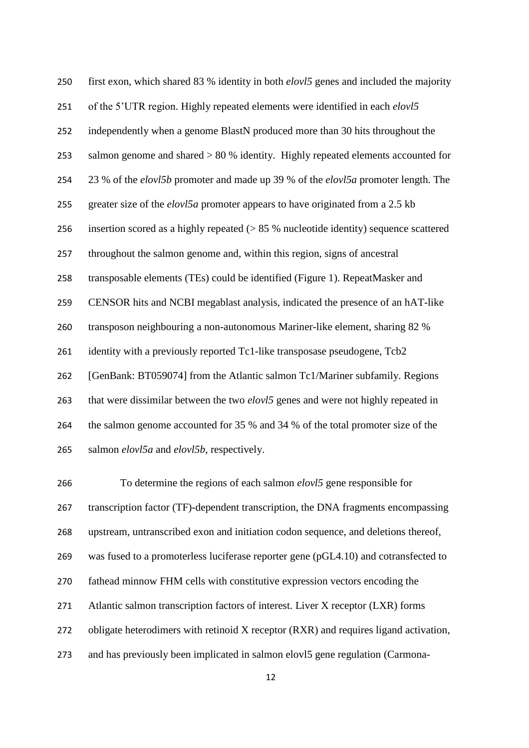first exon, which shared 83 % identity in both *elovl5* genes and included the majority of the 5'UTR region. Highly repeated elements were identified in each *elovl5* independently when a genome BlastN produced more than 30 hits throughout the salmon genome and shared > 80 % identity. Highly repeated elements accounted for 23 % of the *elovl5b* promoter and made up 39 % of the *elovl5a* promoter length. The greater size of the *elovl5a* promoter appears to have originated from a 2.5 kb insertion scored as a highly repeated (> 85 % nucleotide identity) sequence scattered throughout the salmon genome and, within this region, signs of ancestral transposable elements (TEs) could be identified (Figure 1). RepeatMasker and CENSOR hits and NCBI megablast analysis, indicated the presence of an hAT-like transposon neighbouring a non-autonomous Mariner-like element, sharing 82 % identity with a previously reported Tc1-like transposase pseudogene, Tcb2 [GenBank: BT059074] from the Atlantic salmon Tc1/Mariner subfamily. Regions that were dissimilar between the two *elovl5* genes and were not highly repeated in the salmon genome accounted for 35 % and 34 % of the total promoter size of the salmon *elovl5a* and *elovl5b*, respectively.

 To determine the regions of each salmon *elovl5* gene responsible for transcription factor (TF)-dependent transcription, the DNA fragments encompassing upstream, untranscribed exon and initiation codon sequence, and deletions thereof, was fused to a promoterless luciferase reporter gene (pGL4.10) and cotransfected to fathead minnow FHM cells with constitutive expression vectors encoding the Atlantic salmon transcription factors of interest. Liver X receptor (LXR) forms 272 obligate heterodimers with retinoid X receptor (RXR) and requires ligand activation, and has previously been implicated in salmon elovl5 gene regulation (Carmona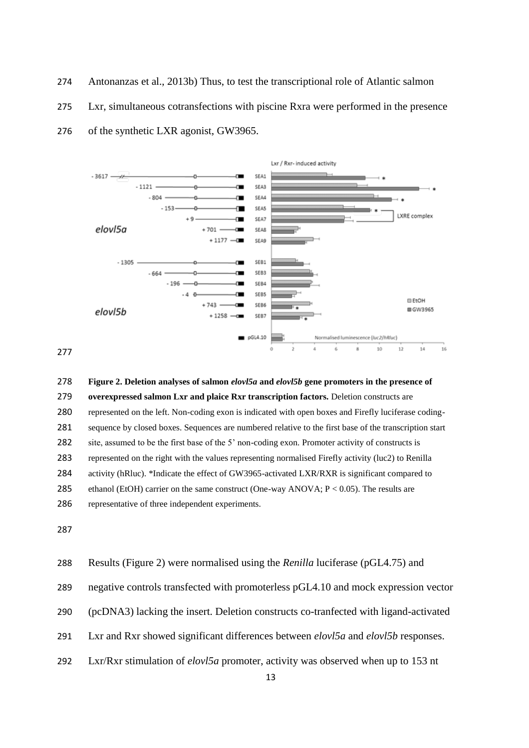Antonanzas et al., 2013b) Thus, to test the transcriptional role of Atlantic salmon

Lxr, simultaneous cotransfections with piscine Rxra were performed in the presence

of the synthetic LXR agonist, GW3965.



 **Figure 2. Deletion analyses of salmon** *elovl5a* **and** *elovl5b* **gene promoters in the presence of overexpressed salmon Lxr and plaice Rxr transcription factors.** Deletion constructs are represented on the left. Non-coding exon is indicated with open boxes and Firefly luciferase coding- sequence by closed boxes. Sequences are numbered relative to the first base of the transcription start site, assumed to be the first base of the 5' non-coding exon. Promoter activity of constructs is represented on the right with the values representing normalised Firefly activity (luc2) to Renilla 284 activity (hRluc). \*Indicate the effect of GW3965-activated LXR/RXR is significant compared to ethanol (EtOH) carrier on the same construct (One-way ANOVA; P < 0.05). The results are representative of three independent experiments.

Results (Figure 2) were normalised using the *Renilla* luciferase (pGL4.75) and

negative controls transfected with promoterless pGL4.10 and mock expression vector

- (pcDNA3) lacking the insert. Deletion constructs co-tranfected with ligand-activated
- Lxr and Rxr showed significant differences between *elovl5a* and *elovl5b* responses.
- Lxr/Rxr stimulation of *elovl5a* promoter, activity was observed when up to 153 nt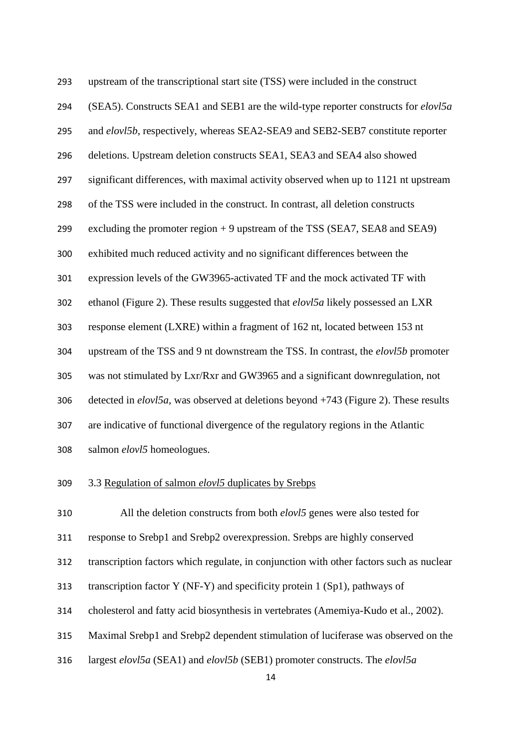| 293 | upstream of the transcriptional start site (TSS) were included in the construct         |
|-----|-----------------------------------------------------------------------------------------|
| 294 | (SEA5). Constructs SEA1 and SEB1 are the wild-type reporter constructs for elovl5a      |
| 295 | and elovl5b, respectively, whereas SEA2-SEA9 and SEB2-SEB7 constitute reporter          |
| 296 | deletions. Upstream deletion constructs SEA1, SEA3 and SEA4 also showed                 |
| 297 | significant differences, with maximal activity observed when up to 1121 nt upstream     |
| 298 | of the TSS were included in the construct. In contrast, all deletion constructs         |
| 299 | excluding the promoter region $+9$ upstream of the TSS (SEA7, SEA8 and SEA9)            |
| 300 | exhibited much reduced activity and no significant differences between the              |
| 301 | expression levels of the GW3965-activated TF and the mock activated TF with             |
| 302 | ethanol (Figure 2). These results suggested that <i>elovl5a</i> likely possessed an LXR |
| 303 | response element (LXRE) within a fragment of 162 nt, located between 153 nt             |
| 304 | upstream of the TSS and 9 nt downstream the TSS. In contrast, the elovl5b promoter      |
| 305 | was not stimulated by Lxr/Rxr and GW3965 and a significant downregulation, not          |
| 306 | detected in $elov15a$ , was observed at deletions beyond +743 (Figure 2). These results |
| 307 | are indicative of functional divergence of the regulatory regions in the Atlantic       |
| 308 | salmon elovl5 homeologues.                                                              |

3.3 Regulation of salmon *elovl5* duplicates by Srebps

All the deletion constructs from both *elovl5* genes were also tested for

response to Srebp1 and Srebp2 overexpression. Srebps are highly conserved

transcription factors which regulate, in conjunction with other factors such as nuclear

transcription factor Y (NF-Y) and specificity protein 1 (Sp1), pathways of

cholesterol and fatty acid biosynthesis in vertebrates (Amemiya-Kudo et al., 2002).

Maximal Srebp1 and Srebp2 dependent stimulation of luciferase was observed on the

largest *elovl5a* (SEA1) and *elovl5b* (SEB1) promoter constructs. The *elovl5a*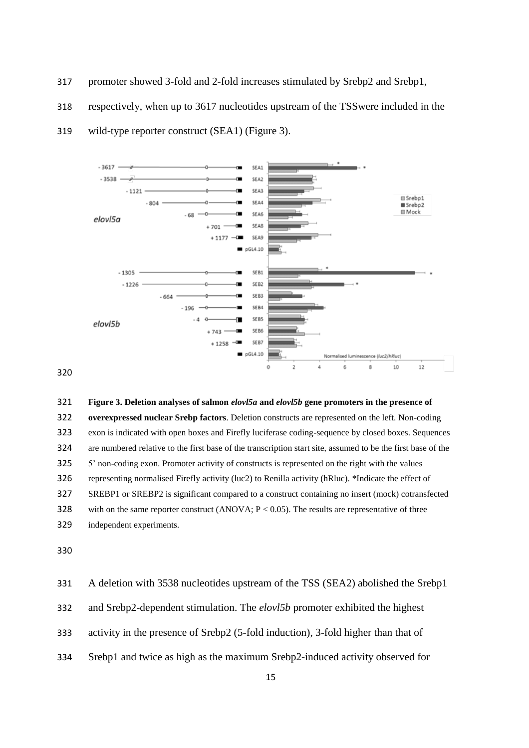- promoter showed 3-fold and 2-fold increases stimulated by Srebp2 and Srebp1,
- respectively, when up to 3617 nucleotides upstream of the TSSwere included in the



wild-type reporter construct (SEA1) (Figure 3).

**Figure 3. Deletion analyses of salmon** *elovl5a* **and** *elovl5b* **gene promoters in the presence of** 

 **overexpressed nuclear Srebp factors**. Deletion constructs are represented on the left. Non-coding exon is indicated with open boxes and Firefly luciferase coding-sequence by closed boxes. Sequences are numbered relative to the first base of the transcription start site, assumed to be the first base of the 5' non-coding exon. Promoter activity of constructs is represented on the right with the values representing normalised Firefly activity (luc2) to Renilla activity (hRluc). \*Indicate the effect of SREBP1 or SREBP2 is significant compared to a construct containing no insert (mock) cotransfected 328 with on the same reporter construct (ANOVA;  $P < 0.05$ ). The results are representative of three independent experiments.

 A deletion with 3538 nucleotides upstream of the TSS (SEA2) abolished the Srebp1 and Srebp2-dependent stimulation. The *elovl5b* promoter exhibited the highest activity in the presence of Srebp2 (5-fold induction), 3-fold higher than that of Srebp1 and twice as high as the maximum Srebp2-induced activity observed for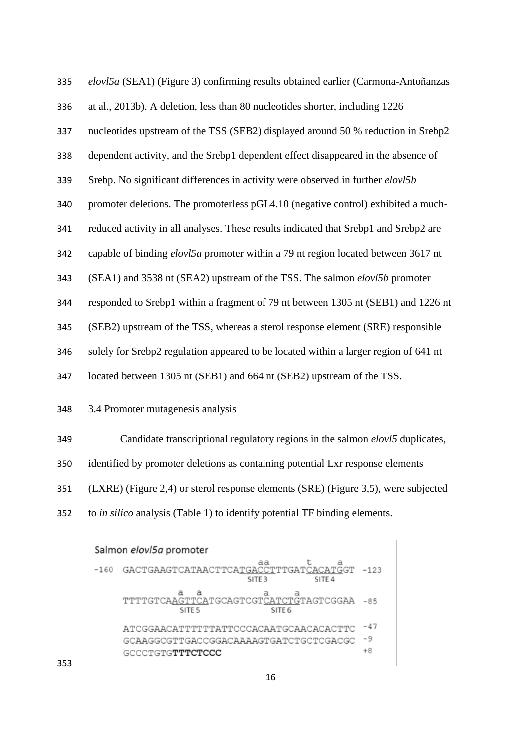*elovl5a* (SEA1) (Figure 3) confirming results obtained earlier (Carmona-Antoñanzas at al., 2013b). A deletion, less than 80 nucleotides shorter, including 1226 nucleotides upstream of the TSS (SEB2) displayed around 50 % reduction in Srebp2 dependent activity, and the Srebp1 dependent effect disappeared in the absence of Srebp. No significant differences in activity were observed in further *elovl5b* promoter deletions. The promoterless pGL4.10 (negative control) exhibited a much- reduced activity in all analyses. These results indicated that Srebp1 and Srebp2 are capable of binding *elovl5a* promoter within a 79 nt region located between 3617 nt (SEA1) and 3538 nt (SEA2) upstream of the TSS. The salmon *elovl5b* promoter responded to Srebp1 within a fragment of 79 nt between 1305 nt (SEB1) and 1226 nt (SEB2) upstream of the TSS, whereas a sterol response element (SRE) responsible solely for Srebp2 regulation appeared to be located within a larger region of 641 nt located between 1305 nt (SEB1) and 664 nt (SEB2) upstream of the TSS. 3.4 Promoter mutagenesis analysis

| 349 | Candidate transcriptional regulatory regions in the salmon <i>elovi5</i> duplicates, |
|-----|--------------------------------------------------------------------------------------|
| 350 | identified by promoter deletions as containing potential Lxr response elements       |
| 351 | (LXRE) (Figure 2,4) or sterol response elements (SRE) (Figure 3,5), were subjected   |
| 352 | to <i>in silico</i> analysis (Table 1) to identify potential TF binding elements.    |

# Salmon elovl5a promoter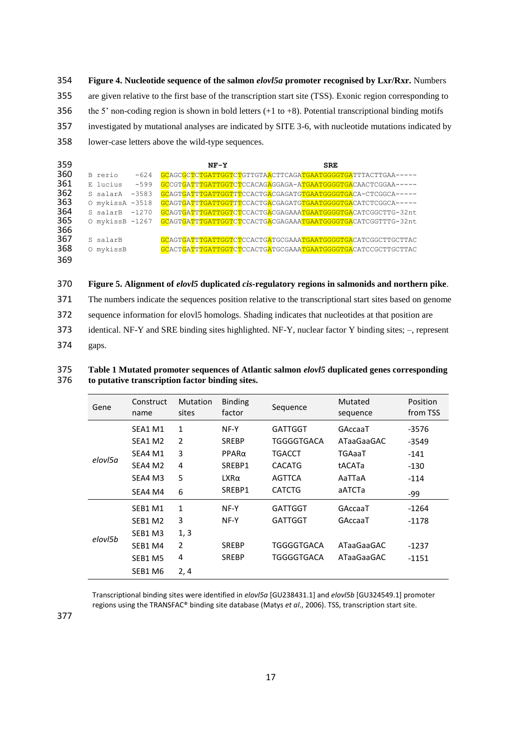**Figure 4. Nucleotide sequence of the salmon** *elovl5a* **promoter recognised by Lxr/Rxr.** Numbers are given relative to the first base of the transcription start site (TSS). Exonic region corresponding to the 5' non-coding region is shown in bold letters (+1 to +8). Potential transcriptional binding motifs investigated by mutational analyses are indicated by SITE 3-6, with nucleotide mutations indicated by lower-case letters above the wild-type sequences.

| 359 |                     | $NF-Y$ | <b>SRE</b>                                                   |  |
|-----|---------------------|--------|--------------------------------------------------------------|--|
| 360 | $-624$<br>B rerio   |        | GCAGCGCTCTGATTGGTCTGTTGTAACTTCAGATGAATGGGGTGATTTACTTGAA-     |  |
| 361 | $-599$<br>E lucius  |        | GCCGTGATTTGATTGGTCTCCACAGAGGAGA-ATGAATGGGGTGACAACTCGGAA-     |  |
| 362 | $-3583$<br>S salarA |        | GCAGTGATTTGATTGGTTTCCACTGACGAGATGTGAATGGGGTGACA-CTCGGCA-     |  |
| 363 | O mykissA -3518     |        | GCAGTGATTTGATTGGTTTCCACTGACGAGATGTGAATGGGGTGACATCTCGGCA-     |  |
| 364 | $-1270$<br>S salarB |        | GCAGTGATTTGATTGGTCTCCACTGACGAGAAATGAATGGGGTGACATCGGCTTG-32nt |  |
| 365 | O mykissB -1267     |        | GCAGTGATTTGATTGGTCTCCACTGACGAGAAATGAATGGGGTGACATCGGTTTG-32nt |  |
| 366 |                     |        |                                                              |  |
| 367 | S salarB            |        |                                                              |  |
| 368 | O mykissB           |        |                                                              |  |
| 369 |                     |        |                                                              |  |

370 **Figure 5. Alignment of** *elovl5* **duplicated** *cis***-regulatory regions in salmonids and northern pike**.

371 The numbers indicate the sequences position relative to the transcriptional start sites based on genome

372 sequence information for elovl5 homologs. Shading indicates that nucleotides at that position are

373 identical. NF-Y and SRE binding sites highlighted. NF-Y, nuclear factor Y binding sites; –, represent

374 gaps.

#### 375 **Table 1 Mutated promoter sequences of Atlantic salmon** *elovl5* **duplicated genes corresponding**  376 **to putative transcription factor binding sites.**

| Gene    | Construct<br>name               | <b>Mutation</b><br>sites | <b>Binding</b><br>factor | Sequence       | Mutated<br>sequence | Position<br>from TSS |
|---------|---------------------------------|--------------------------|--------------------------|----------------|---------------------|----------------------|
|         | SEA1 M1                         | $\mathbf{1}$             | NF-Y                     | <b>GATTGGT</b> | GAccaaT             | $-3576$              |
|         | SEA1 M2                         | $\overline{2}$           | <b>SREBP</b>             | TGGGGTGACA     | ATaaGaaGAC          | $-3549$              |
|         | SEA4 M1                         | 3                        | $PPAR\alpha$             | TGACCT         | TGAaaT              | $-141$               |
| elovl5a | SEA4 M2                         | 4                        | SREBP1                   | <b>CACATG</b>  | tACATa              | $-130$               |
|         | SEA4 M3                         | 5                        | $LXR\alpha$              | AGTTCA         | AaTTaA              | $-114$               |
|         | SEA4 M4                         | 6                        | SREBP1                   | <b>CATCTG</b>  | аАТСТа              | -99                  |
|         | SEB1 M1                         | 1                        | NF-Y                     | GATTGGT        | GAccaaT             | $-1264$              |
|         | SEB1 M2                         | 3                        | NF-Y                     | <b>GATTGGT</b> | GAccaaT             | -1178                |
| elovl5h | SEB <sub>1</sub> M <sub>3</sub> | 1, 3                     |                          |                |                     |                      |
|         | SEB1 M4                         | 2                        | <b>SREBP</b>             | TGGGGTGACA     | ATaaGaaGAC          | $-1237$              |
|         | SEB1 M5                         | 4                        | <b>SREBP</b>             | TGGGGTGACA     | ATaaGaaGAC          | $-1151$              |
|         | SEB1 M6                         | 2,4                      |                          |                |                     |                      |

Transcriptional binding sites were identified in *elovl5a* [GU238431.1] and *elovl5b* [GU324549.1] promoter regions using the TRANSFAC® binding site database (Matys *et al*., 2006). TSS, transcription start site.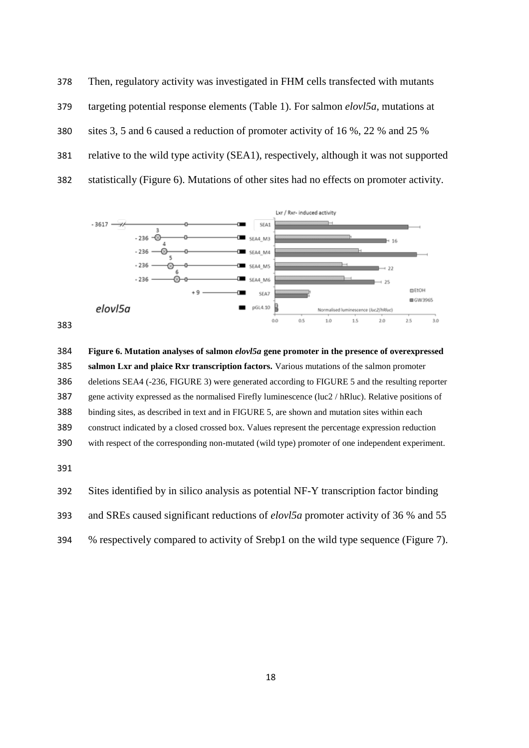Then, regulatory activity was investigated in FHM cells transfected with mutants targeting potential response elements (Table 1). For salmon *elovl5a*, mutations at sites 3, 5 and 6 caused a reduction of promoter activity of 16 %, 22 % and 25 % relative to the wild type activity (SEA1), respectively, although it was not supported statistically (Figure 6). Mutations of other sites had no effects on promoter activity.





 **Figure 6. Mutation analyses of salmon** *elovl5a* **gene promoter in the presence of overexpressed salmon Lxr and plaice Rxr transcription factors.** Various mutations of the salmon promoter deletions SEA4 (-236, FIGURE 3) were generated according to FIGURE 5 and the resulting reporter gene activity expressed as the normalised Firefly luminescence (luc2 / hRluc). Relative positions of binding sites, as described in text and in FIGURE 5, are shown and mutation sites within each construct indicated by a closed crossed box. Values represent the percentage expression reduction with respect of the corresponding non-mutated (wild type) promoter of one independent experiment.



% respectively compared to activity of Srebp1 on the wild type sequence (Figure 7).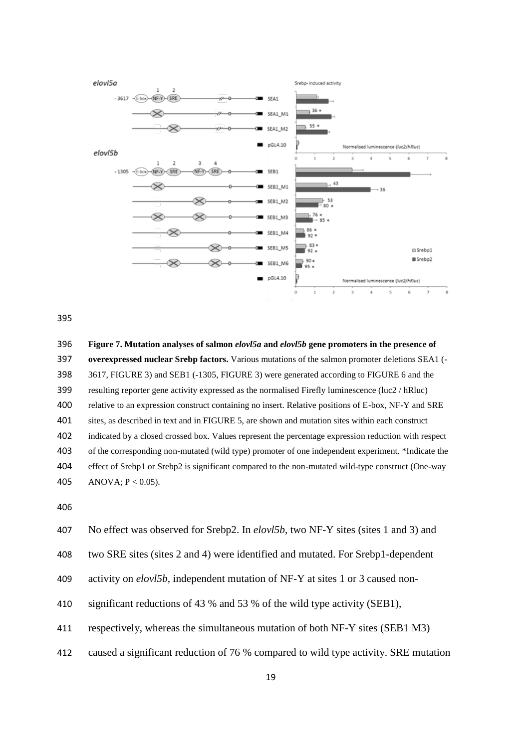

 **Figure 7. Mutation analyses of salmon** *elovl5a* **and** *elovl5b* **gene promoters in the presence of overexpressed nuclear Srebp factors.** Various mutations of the salmon promoter deletions SEA1 (- 3617, FIGURE 3) and SEB1 (-1305, FIGURE 3) were generated according to FIGURE 6 and the resulting reporter gene activity expressed as the normalised Firefly luminescence (luc2 / hRluc) relative to an expression construct containing no insert. Relative positions of E-box, NF-Y and SRE sites, as described in text and in FIGURE 5, are shown and mutation sites within each construct indicated by a closed crossed box. Values represent the percentage expression reduction with respect of the corresponding non-mutated (wild type) promoter of one independent experiment. \*Indicate the effect of Srebp1 or Srebp2 is significant compared to the non-mutated wild-type construct (One-way 405 ANOVA;  $P < 0.05$ ).



two SRE sites (sites 2 and 4) were identified and mutated. For Srebp1-dependent

activity on *elovl5b*, independent mutation of NF-Y at sites 1 or 3 caused non-

significant reductions of 43 % and 53 % of the wild type activity (SEB1),

respectively, whereas the simultaneous mutation of both NF-Y sites (SEB1 M3)

caused a significant reduction of 76 % compared to wild type activity. SRE mutation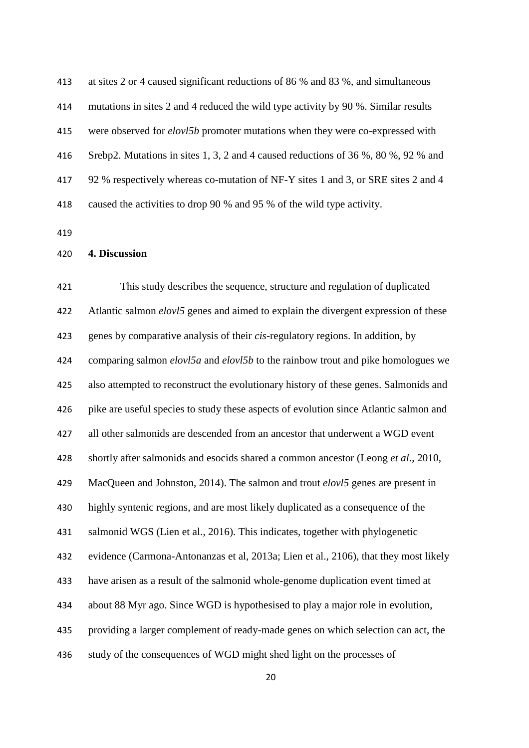at sites 2 or 4 caused significant reductions of 86 % and 83 %, and simultaneous mutations in sites 2 and 4 reduced the wild type activity by 90 %. Similar results were observed for *elovl5b* promoter mutations when they were co-expressed with Srebp2. Mutations in sites 1, 3, 2 and 4 caused reductions of 36 %, 80 %, 92 % and 92 % respectively whereas co-mutation of NF-Y sites 1 and 3, or SRE sites 2 and 4 caused the activities to drop 90 % and 95 % of the wild type activity.

**4. Discussion**

 This study describes the sequence, structure and regulation of duplicated Atlantic salmon *elovl5* genes and aimed to explain the divergent expression of these genes by comparative analysis of their *cis*-regulatory regions. In addition, by comparing salmon *elovl5a* and *elovl5b* to the rainbow trout and pike homologues we also attempted to reconstruct the evolutionary history of these genes. Salmonids and pike are useful species to study these aspects of evolution since Atlantic salmon and all other salmonids are descended from an ancestor that underwent a WGD event shortly after salmonids and esocids shared a common ancestor (Leong *et al*., 2010, MacQueen and Johnston, 2014). The salmon and trout *elovl5* genes are present in highly syntenic regions, and are most likely duplicated as a consequence of the salmonid WGS (Lien et al., 2016). This indicates, together with phylogenetic evidence (Carmona-Antonanzas et al, 2013a; Lien et al., 2106), that they most likely have arisen as a result of the salmonid whole-genome duplication event timed at about 88 Myr ago. Since WGD is hypothesised to play a major role in evolution, providing a larger complement of ready-made genes on which selection can act, the study of the consequences of WGD might shed light on the processes of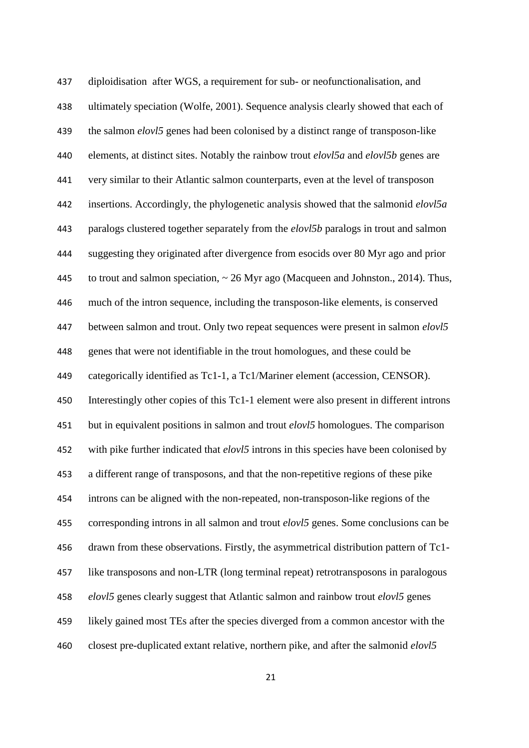diploidisation after WGS, a requirement for sub- or neofunctionalisation, and ultimately speciation (Wolfe, 2001). Sequence analysis clearly showed that each of the salmon *elovl5* genes had been colonised by a distinct range of transposon-like elements, at distinct sites. Notably the rainbow trout *elovl5a* and *elovl5b* genes are very similar to their Atlantic salmon counterparts, even at the level of transposon insertions. Accordingly, the phylogenetic analysis showed that the salmonid *elovl5a* paralogs clustered together separately from the *elovl5b* paralogs in trout and salmon suggesting they originated after divergence from esocids over 80 Myr ago and prior 445 to trout and salmon speciation,  $\sim$  26 Myr ago (Macqueen and Johnston., 2014). Thus, much of the intron sequence, including the transposon-like elements, is conserved between salmon and trout. Only two repeat sequences were present in salmon *elovl5* genes that were not identifiable in the trout homologues, and these could be categorically identified as Tc1-1, a Tc1/Mariner element (accession, CENSOR). Interestingly other copies of this Tc1-1 element were also present in different introns but in equivalent positions in salmon and trout *elovl5* homologues. The comparison with pike further indicated that *elovl5* introns in this species have been colonised by a different range of transposons, and that the non-repetitive regions of these pike introns can be aligned with the non-repeated, non-transposon-like regions of the corresponding introns in all salmon and trout *elovl5* genes. Some conclusions can be drawn from these observations. Firstly, the asymmetrical distribution pattern of Tc1- like transposons and non-LTR (long terminal repeat) retrotransposons in paralogous *elovl5* genes clearly suggest that Atlantic salmon and rainbow trout *elovl5* genes likely gained most TEs after the species diverged from a common ancestor with the closest pre-duplicated extant relative, northern pike, and after the salmonid *elovl5*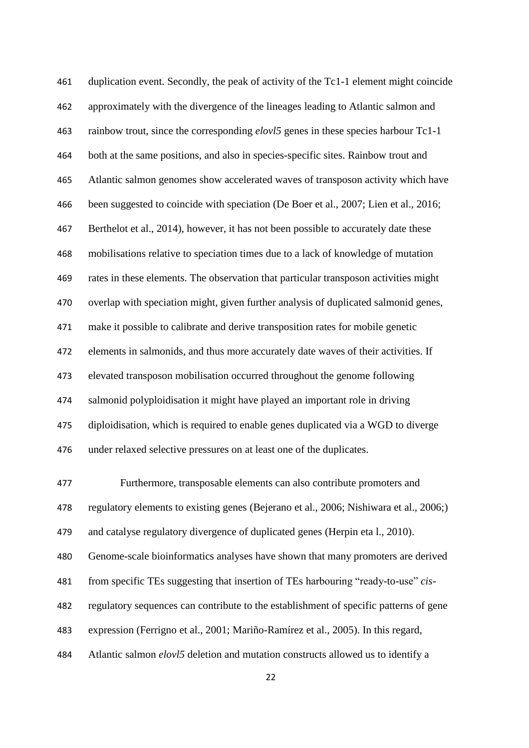duplication event. Secondly, the peak of activity of the Tc1-1 element might coincide approximately with the divergence of the lineages leading to Atlantic salmon and rainbow trout, since the corresponding *elovl5* genes in these species harbour Tc1-1 both at the same positions, and also in species-specific sites. Rainbow trout and Atlantic salmon genomes show accelerated waves of transposon activity which have been suggested to coincide with speciation (De Boer et al., 2007; Lien et al., 2016; Berthelot et al., 2014), however, it has not been possible to accurately date these mobilisations relative to speciation times due to a lack of knowledge of mutation rates in these elements. The observation that particular transposon activities might overlap with speciation might, given further analysis of duplicated salmonid genes, make it possible to calibrate and derive transposition rates for mobile genetic elements in salmonids, and thus more accurately date waves of their activities. If elevated transposon mobilisation occurred throughout the genome following salmonid polyploidisation it might have played an important role in driving diploidisation, which is required to enable genes duplicated via a WGD to diverge under relaxed selective pressures on at least one of the duplicates.

 Furthermore, transposable elements can also contribute promoters and regulatory elements to existing genes (Bejerano et al., 2006; Nishiwara et al., 2006;) and catalyse regulatory divergence of duplicated genes (Herpin eta l., 2010). Genome-scale bioinformatics analyses have shown that many promoters are derived from specific TEs suggesting that insertion of TEs harbouring "ready-to-use" *cis*- regulatory sequences can contribute to the establishment of specific patterns of gene expression (Ferrigno et al., 2001; Mariño-Ramírez et al., 2005). In this regard, Atlantic salmon *elovl5* deletion and mutation constructs allowed us to identify a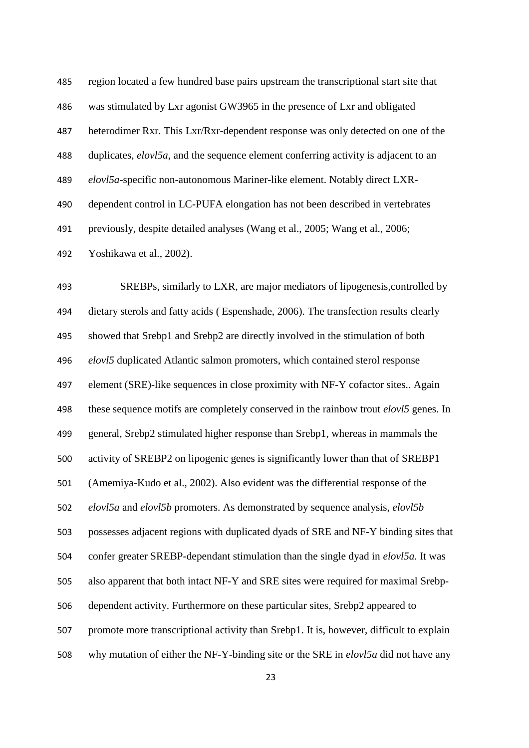| 485 | region located a few hundred base pairs upstream the transcriptional start site that    |
|-----|-----------------------------------------------------------------------------------------|
| 486 | was stimulated by Lxr agonist GW3965 in the presence of Lxr and obligated               |
| 487 | heterodimer Rxr. This Lxr/Rxr-dependent response was only detected on one of the        |
| 488 | duplicates, $elov1 5a$ , and the sequence element conferring activity is adjacent to an |
| 489 | elovl5a-specific non-autonomous Mariner-like element. Notably direct LXR-               |
| 490 | dependent control in LC-PUFA elongation has not been described in vertebrates           |
| 491 | previously, despite detailed analyses (Wang et al., 2005; Wang et al., 2006;            |
| 492 | Yoshikawa et al., 2002).                                                                |

 SREBPs, similarly to LXR, are major mediators of lipogenesis,controlled by dietary sterols and fatty acids ( Espenshade, 2006). The transfection results clearly showed that Srebp1 and Srebp2 are directly involved in the stimulation of both *elovl5* duplicated Atlantic salmon promoters, which contained sterol response element (SRE)-like sequences in close proximity with NF-Y cofactor sites.. Again these sequence motifs are completely conserved in the rainbow trout *elovl5* genes. In general, Srebp2 stimulated higher response than Srebp1, whereas in mammals the activity of SREBP2 on lipogenic genes is significantly lower than that of SREBP1 (Amemiya-Kudo et al., 2002). Also evident was the differential response of the *elovl5a* and *elovl5b* promoters. As demonstrated by sequence analysis, *elovl5b* possesses adjacent regions with duplicated dyads of SRE and NF-Y binding sites that confer greater SREBP-dependant stimulation than the single dyad in *elovl5a.* It was also apparent that both intact NF-Y and SRE sites were required for maximal Srebp- dependent activity. Furthermore on these particular sites, Srebp2 appeared to promote more transcriptional activity than Srebp1. It is, however, difficult to explain why mutation of either the NF-Y-binding site or the SRE in *elovl5a* did not have any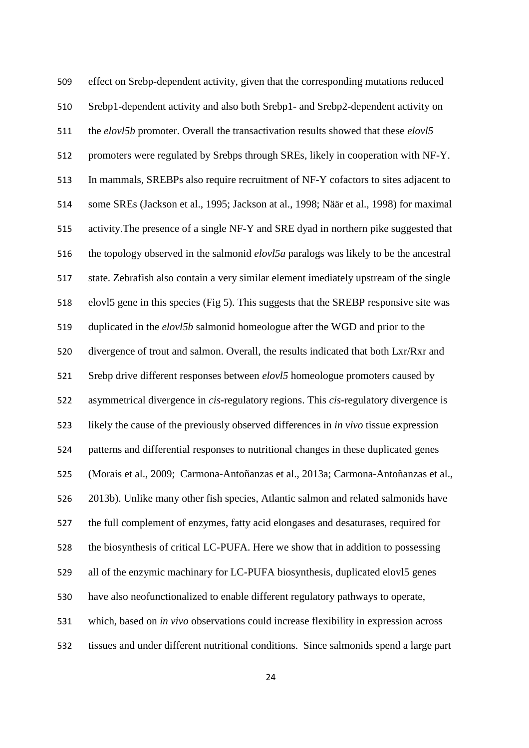effect on Srebp-dependent activity, given that the corresponding mutations reduced Srebp1-dependent activity and also both Srebp1- and Srebp2-dependent activity on the *elovl5b* promoter. Overall the transactivation results showed that these *elovl5* promoters were regulated by Srebps through SREs, likely in cooperation with NF-Y. In mammals, SREBPs also require recruitment of NF-Y cofactors to sites adjacent to some SREs (Jackson et al., 1995; Jackson at al., 1998; Näär et al., 1998) for maximal activity.The presence of a single NF-Y and SRE dyad in northern pike suggested that the topology observed in the salmonid *elovl5a* paralogs was likely to be the ancestral state. Zebrafish also contain a very similar element imediately upstream of the single elovl5 gene in this species (Fig 5). This suggests that the SREBP responsive site was duplicated in the *elovl5b* salmonid homeologue after the WGD and prior to the divergence of trout and salmon. Overall, the results indicated that both Lxr/Rxr and Srebp drive different responses between *elovl5* homeologue promoters caused by asymmetrical divergence in *cis*-regulatory regions. This *cis*-regulatory divergence is likely the cause of the previously observed differences in *in vivo* tissue expression patterns and differential responses to nutritional changes in these duplicated genes (Morais et al., 2009; Carmona-Antoñanzas et al., 2013a; Carmona-Antoñanzas et al., 2013b). Unlike many other fish species, Atlantic salmon and related salmonids have the full complement of enzymes, fatty acid elongases and desaturases, required for the biosynthesis of critical LC-PUFA. Here we show that in addition to possessing all of the enzymic machinary for LC-PUFA biosynthesis, duplicated elovl5 genes have also neofunctionalized to enable different regulatory pathways to operate, which, based on *in vivo* observations could increase flexibility in expression across tissues and under different nutritional conditions. Since salmonids spend a large part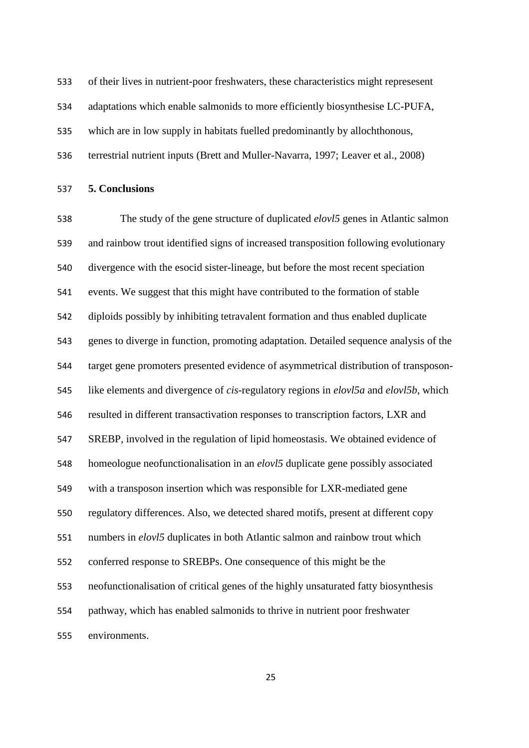of their lives in nutrient-poor freshwaters, these characteristics might represesent

adaptations which enable salmonids to more efficiently biosynthesise LC-PUFA,

which are in low supply in habitats fuelled predominantly by allochthonous,

terrestrial nutrient inputs (Brett and Muller-Navarra, 1997; Leaver et al., 2008)

**5. Conclusions** 

 The study of the gene structure of duplicated *elovl5* genes in Atlantic salmon and rainbow trout identified signs of increased transposition following evolutionary divergence with the esocid sister-lineage, but before the most recent speciation events. We suggest that this might have contributed to the formation of stable diploids possibly by inhibiting tetravalent formation and thus enabled duplicate genes to diverge in function, promoting adaptation. Detailed sequence analysis of the target gene promoters presented evidence of asymmetrical distribution of transposon- like elements and divergence of *cis*-regulatory regions in *elovl5a* and *elovl5b*, which resulted in different transactivation responses to transcription factors, LXR and SREBP, involved in the regulation of lipid homeostasis. We obtained evidence of homeologue neofunctionalisation in an *elovl5* duplicate gene possibly associated with a transposon insertion which was responsible for LXR-mediated gene regulatory differences. Also, we detected shared motifs, present at different copy numbers in *elovl5* duplicates in both Atlantic salmon and rainbow trout which conferred response to SREBPs. One consequence of this might be the neofunctionalisation of critical genes of the highly unsaturated fatty biosynthesis pathway, which has enabled salmonids to thrive in nutrient poor freshwater environments.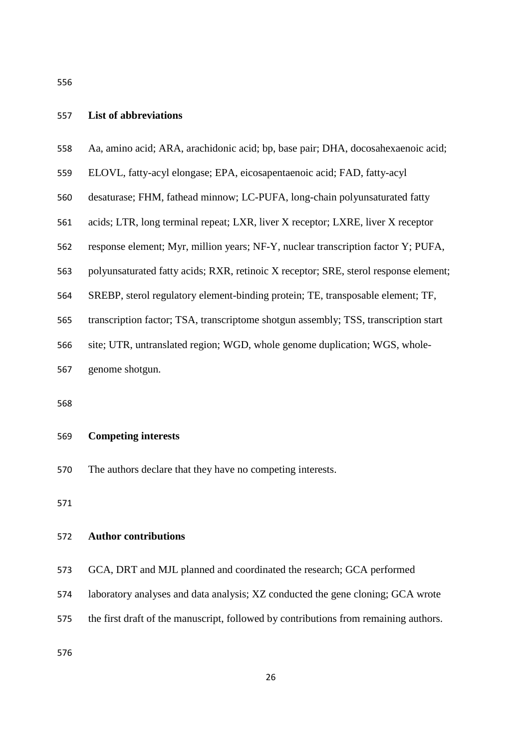## **List of abbreviations**

| 558 |  |  |  |  |  | Aa, amino acid; ARA, arachidonic acid; bp, base pair; DHA, docosahexaenoic acid; |  |
|-----|--|--|--|--|--|----------------------------------------------------------------------------------|--|
|-----|--|--|--|--|--|----------------------------------------------------------------------------------|--|

- ELOVL, fatty-acyl elongase; EPA, eicosapentaenoic acid; FAD, fatty-acyl
- desaturase; FHM, fathead minnow; LC-PUFA, long-chain polyunsaturated fatty
- acids; LTR, long terminal repeat; LXR, liver X receptor; LXRE, liver X receptor
- response element; Myr, million years; NF-Y, nuclear transcription factor Y; PUFA,
- polyunsaturated fatty acids; RXR, retinoic X receptor; SRE, sterol response element;
- SREBP, sterol regulatory element-binding protein; TE, transposable element; TF,
- transcription factor; TSA, transcriptome shotgun assembly; TSS, transcription start
- site; UTR, untranslated region; WGD, whole genome duplication; WGS, whole-
- genome shotgun.

# **Competing interests**

The authors declare that they have no competing interests.

### **Author contributions**

- GCA, DRT and MJL planned and coordinated the research; GCA performed
- laboratory analyses and data analysis; XZ conducted the gene cloning; GCA wrote
- the first draft of the manuscript, followed by contributions from remaining authors.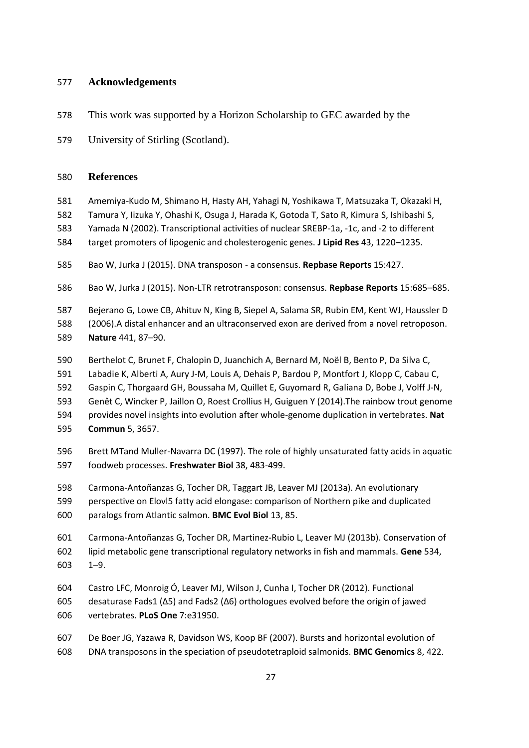# **Acknowledgements**

- This work was supported by a Horizon Scholarship to GEC awarded by the
- University of Stirling (Scotland).

## **References**

- Amemiya-Kudo M, Shimano H, Hasty AH, Yahagi N, Yoshikawa T, Matsuzaka T, Okazaki H,
- Tamura Y, Iizuka Y, Ohashi K, Osuga J, Harada K, Gotoda T, Sato R, Kimura S, Ishibashi S,
- Yamada N (2002). Transcriptional activities of nuclear SREBP-1a, -1c, and -2 to different
- target promoters of lipogenic and cholesterogenic genes. **J Lipid Res** 43, 1220–1235.
- Bao W, Jurka J (2015). DNA transposon a consensus. **Repbase Reports** 15:427.
- Bao W, Jurka J (2015). Non-LTR retrotransposon: consensus. **Repbase Reports** 15:685–685.
- Bejerano G, Lowe CB, Ahituv N, King B, Siepel A, Salama SR, Rubin EM, Kent WJ, Haussler D
- (2006).A distal enhancer and an ultraconserved exon are derived from a novel retroposon. **Nature** 441, 87–90.
- Berthelot C, Brunet F, Chalopin D, Juanchich A, Bernard M, Noël B, Bento P, Da Silva C,
- Labadie K, Alberti A, Aury J-M, Louis A, Dehais P, Bardou P, Montfort J, Klopp C, Cabau C,
- Gaspin C, Thorgaard GH, Boussaha M, Quillet E, Guyomard R, Galiana D, Bobe J, Volff J-N,
- Genêt C, Wincker P, Jaillon O, Roest Crollius H, Guiguen Y (2014).The rainbow trout genome
- provides novel insights into evolution after whole-genome duplication in vertebrates. **Nat**
- **Commun** 5, 3657.
- Brett MTand Muller-Navarra DC (1997). The role of highly unsaturated fatty acids in aquatic foodweb processes. **Freshwater Biol** 38, 483-499.
- Carmona-Antoñanzas G, Tocher DR, Taggart JB, Leaver MJ (2013a). An evolutionary perspective on Elovl5 fatty acid elongase: comparison of Northern pike and duplicated paralogs from Atlantic salmon. **BMC Evol Biol** 13, 85.
- Carmona-Antoñanzas G, Tocher DR, Martinez-Rubio L, Leaver MJ (2013b). Conservation of lipid metabolic gene transcriptional regulatory networks in fish and mammals. **Gene** 534, 1–9.
- Castro LFC, Monroig Ó, Leaver MJ, Wilson J, Cunha I, Tocher DR (2012). Functional
- desaturase Fads1 (Δ5) and Fads2 (Δ6) orthologues evolved before the origin of jawed vertebrates. **PLoS One** 7:e31950.
- De Boer JG, Yazawa R, Davidson WS, Koop BF (2007). Bursts and horizontal evolution of DNA transposons in the speciation of pseudotetraploid salmonids. **BMC Genomics** 8, 422.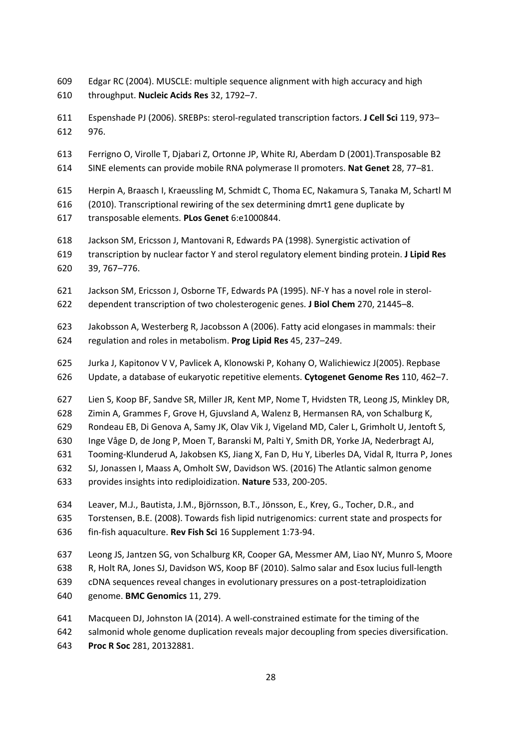Edgar RC (2004). MUSCLE: multiple sequence alignment with high accuracy and high throughput. **Nucleic Acids Res** 32, 1792–7.

 Espenshade PJ (2006). SREBPs: sterol-regulated transcription factors. **J Cell Sci** 119, 973– 976.

Ferrigno O, Virolle T, Djabari Z, Ortonne JP, White RJ, Aberdam D (2001).Transposable B2

SINE elements can provide mobile RNA polymerase II promoters. **Nat Genet** 28, 77–81.

Herpin A, Braasch I, Kraeussling M, Schmidt C, Thoma EC, Nakamura S, Tanaka M, Schartl M

- (2010). Transcriptional rewiring of the sex determining dmrt1 gene duplicate by
- transposable elements. **PLos Genet** 6:e1000844.
- Jackson SM, Ericsson J, Mantovani R, Edwards PA (1998). Synergistic activation of
- transcription by nuclear factor Y and sterol regulatory element binding protein. **J Lipid Res**
- 39, 767–776.
- Jackson SM, Ericsson J, Osborne TF, Edwards PA (1995). NF-Y has a novel role in sterol-
- dependent transcription of two cholesterogenic genes. **J Biol Chem** 270, 21445–8.
- Jakobsson A, Westerberg R, Jacobsson A (2006). Fatty acid elongases in mammals: their regulation and roles in metabolism. **Prog Lipid Res** 45, 237–249.
- Jurka J, Kapitonov V V, Pavlicek A, Klonowski P, Kohany O, Walichiewicz J(2005). Repbase
- Update, a database of eukaryotic repetitive elements. **Cytogenet Genome Res** 110, 462–7.
- Lien S, Koop BF, Sandve SR, Miller JR, Kent MP, Nome T, Hvidsten TR, Leong JS, Minkley DR,
- Zimin A, Grammes F, Grove H, Gjuvsland A, Walenz B, Hermansen RA, von Schalburg K,
- Rondeau EB, Di Genova A, Samy JK, Olav Vik J, Vigeland MD, Caler L, Grimholt U, Jentoft S,
- Inge Våge D, de Jong P, Moen T, Baranski M, Palti Y, Smith DR, Yorke JA, Nederbragt AJ,
- Tooming-Klunderud A, Jakobsen KS, Jiang X, Fan D, Hu Y, Liberles DA, Vidal R, Iturra P, Jones
- SJ, Jonassen I, Maass A, Omholt SW, Davidson WS. (2016) The Atlantic salmon genome
- provides insights into rediploidization. **Nature** 533, 200-205.
- Leaver, M.J., Bautista, J.M., Björnsson, B.T., Jönsson, E., Krey, G., Tocher, D.R., and
- Torstensen, B.E. (2008). Towards fish lipid nutrigenomics: current state and prospects for fin-fish aquaculture. **Rev Fish Sci** 16 Supplement 1:73-94.
- Leong JS, Jantzen SG, von Schalburg KR, Cooper GA, Messmer AM, Liao NY, Munro S, Moore
- R, Holt RA, Jones SJ, Davidson WS, Koop BF (2010). Salmo salar and Esox lucius full-length
- cDNA sequences reveal changes in evolutionary pressures on a post-tetraploidization
- genome. **BMC Genomics** 11, 279.
- Macqueen DJ, Johnston IA (2014). A well-constrained estimate for the timing of the
- salmonid whole genome duplication reveals major decoupling from species diversification.
- **Proc R Soc** 281, 20132881.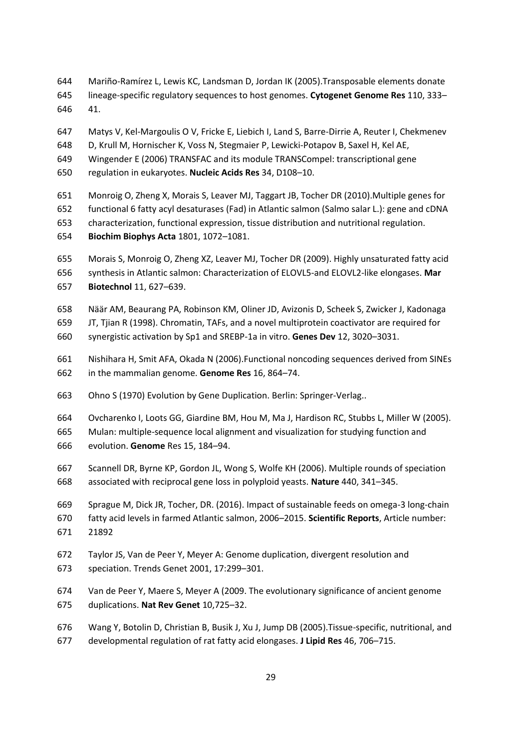Mariño-Ramírez L, Lewis KC, Landsman D, Jordan IK (2005).Transposable elements donate lineage-specific regulatory sequences to host genomes. **Cytogenet Genome Res** 110, 333–

41.

Matys V, Kel-Margoulis O V, Fricke E, Liebich I, Land S, Barre-Dirrie A, Reuter I, Chekmenev

- D, Krull M, Hornischer K, Voss N, Stegmaier P, Lewicki-Potapov B, Saxel H, Kel AE,
- Wingender E (2006) TRANSFAC and its module TRANSCompel: transcriptional gene
- regulation in eukaryotes. **Nucleic Acids Res** 34, D108–10.
- Monroig O, Zheng X, Morais S, Leaver MJ, Taggart JB, Tocher DR (2010).Multiple genes for
- functional 6 fatty acyl desaturases (Fad) in Atlantic salmon (Salmo salar L.): gene and cDNA
- characterization, functional expression, tissue distribution and nutritional regulation.
- **Biochim Biophys Acta** 1801, 1072–1081.
- Morais S, Monroig O, Zheng XZ, Leaver MJ, Tocher DR (2009). Highly unsaturated fatty acid
- synthesis in Atlantic salmon: Characterization of ELOVL5-and ELOVL2-like elongases. **Mar**
- **Biotechnol** 11, 627–639.
- Näär AM, Beaurang PA, Robinson KM, Oliner JD, Avizonis D, Scheek S, Zwicker J, Kadonaga
- JT, Tjian R (1998). Chromatin, TAFs, and a novel multiprotein coactivator are required for
- synergistic activation by Sp1 and SREBP-1a in vitro. **Genes Dev** 12, 3020–3031.
- Nishihara H, Smit AFA, Okada N (2006).Functional noncoding sequences derived from SINEs in the mammalian genome. **Genome Res** 16, 864–74.
- Ohno S (1970) Evolution by Gene Duplication. Berlin: Springer-Verlag..
- Ovcharenko I, Loots GG, Giardine BM, Hou M, Ma J, Hardison RC, Stubbs L, Miller W (2005).
- Mulan: multiple-sequence local alignment and visualization for studying function and
- evolution. **Genome** Res 15, 184–94.
- Scannell DR, Byrne KP, Gordon JL, Wong S, Wolfe KH (2006). Multiple rounds of speciation associated with reciprocal gene loss in polyploid yeasts. **Nature** 440, 341–345.
- Sprague M, Dick JR, Tocher, DR. (2016). Impact of sustainable feeds on omega-3 long-chain fatty acid levels in farmed Atlantic salmon, 2006–2015. **Scientific Reports**, Article number:
- 21892
- Taylor JS, Van de Peer Y, Meyer A: Genome duplication, divergent resolution and
- speciation. Trends Genet 2001, 17:299–301.
- Van de Peer Y, Maere S, Meyer A (2009. The evolutionary significance of ancient genome
- duplications. **Nat Rev Genet** 10,725–32.
- Wang Y, Botolin D, Christian B, Busik J, Xu J, Jump DB (2005).Tissue-specific, nutritional, and
- developmental regulation of rat fatty acid elongases. **J Lipid Res** 46, 706–715.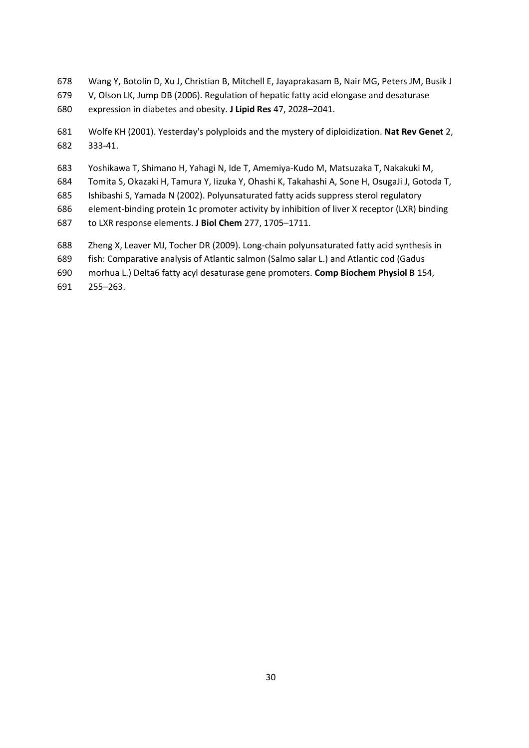- Wang Y, Botolin D, Xu J, Christian B, Mitchell E, Jayaprakasam B, Nair MG, Peters JM, Busik J
- V, Olson LK, Jump DB (2006). Regulation of hepatic fatty acid elongase and desaturase
- expression in diabetes and obesity. **J Lipid Res** 47, 2028–2041.
- Wolfe KH (2001). Yesterday's polyploids and the mystery of diploidization. **Nat Rev Genet** 2, 333-41.
- Yoshikawa T, Shimano H, Yahagi N, Ide T, Amemiya-Kudo M, Matsuzaka T, Nakakuki M,
- Tomita S, Okazaki H, Tamura Y, Iizuka Y, Ohashi K, Takahashi A, Sone H, OsugaJi J, Gotoda T,
- Ishibashi S, Yamada N (2002). Polyunsaturated fatty acids suppress sterol regulatory
- element-binding protein 1c promoter activity by inhibition of liver X receptor (LXR) binding
- to LXR response elements. **J Biol Chem** 277, 1705–1711.
- Zheng X, Leaver MJ, Tocher DR (2009). Long-chain polyunsaturated fatty acid synthesis in
- fish: Comparative analysis of Atlantic salmon (Salmo salar L.) and Atlantic cod (Gadus
- morhua L.) Delta6 fatty acyl desaturase gene promoters. **Comp Biochem Physiol B** 154,
- 255–263.